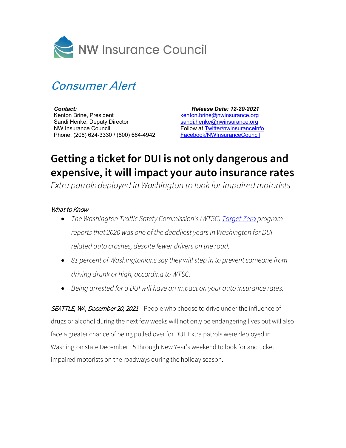

## Consumer Alert

*Contact:* Kenton Brine, President Sandi Henke, Deputy Director NW Insurance Council Phone: (206) 624-3330 / (800) 664-4942

 *Release Date: 12-20-2021* [kenton.brine@nwinsurance.org](mailto:kenton.brine@nwinsurance.org) [sandi.henke@nwinsurance.org](mailto:sandi.henke@nwinsurance.org) Follow at [Twitter/nwinsuranceinfo](http://twitter.com/#!/nwinsuranceinfo) [Facebook/NWInsuranceCouncil](https://www.facebook.com/NWInsuranceCouncil)

## **Getting a ticket for DUI is not only dangerous and expensive, it will impact your auto insurance rates**

*Extra patrols deployed in Washington to look for impaired motorists*

## What to Know

- *The Washington Traffic Safety Commission's(WTSC) [Target Zero](https://www.wtscpartners.com/campaigns/2021/12/13/december-2021-impaired-driving-campaign/#key-messages) program reports that 2020 was one of the deadliest years in Washington for DUIrelated auto crashes, despite fewer drivers on the road.*
- *81 percent of Washingtonians say they will step in to prevent someone from driving drunk or high, according to WTSC.*
- *Being arrested for a DUI will have an impact on your auto insurance rates.*

SEATTLE, WA, December 20, 2021 - People who choose to drive under the influence of drugs or alcohol during the next few weeks will not only be endangering lives but will also face a greater chance of being pulled over for DUI. Extra patrols were deployed in Washington state December 15 through New Year's weekend to look for and ticket impaired motorists on the roadways during the holiday season.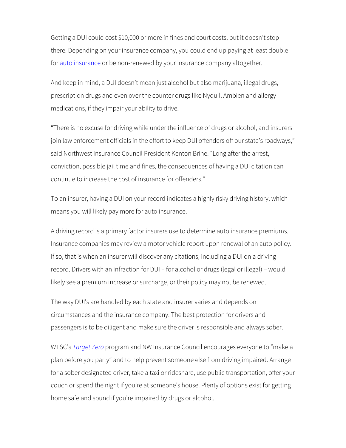Getting a DUI could cost \$10,000 or more in fines and court costs, but it doesn't stop there. Depending on your insurance company, you could end up paying at least double for [auto insurance](https://www.nwinsurance.org/auto-insurance-basics) or be non-renewed by your insurance company altogether.

And keep in mind, a DUI doesn't mean just alcohol but also marijuana, illegal drugs, prescription drugs and even over the counter drugs like Nyquil, Ambien and allergy medications, if they impair your ability to drive.

"There is no excuse for driving while under the influence of drugs or alcohol, and insurers join law enforcement officials in the effort to keep DUI offenders off our state's roadways," said Northwest Insurance Council President Kenton Brine. "Long after the arrest, conviction, possible jail time and fines, the consequences of having a DUI citation can continue to increase the cost of insurance for offenders."

To an insurer, having a DUI on your record indicates a highly risky driving history, which means you will likely pay more for auto insurance.

A driving record is a primary factor insurers use to determine auto insurance premiums. Insurance companies may review a motor vehicle report upon renewal of an auto policy. If so, that is when an insurer will discover any citations, including a DUI on a driving record. Drivers with an infraction for DUI – for alcohol or drugs (legal or illegal) – would likely see a premium increase or surcharge, or their policy may not be renewed.

The way DUI's are handled by each state and insurer varies and depends on circumstances and the insurance company. The best protection for drivers and passengers is to be diligent and make sure the driver is responsible and always sober.

WTSC's *[Target Zero](https://www.wtscpartners.com/campaigns/2020/12/16/december-2020-impaired-driving-campaign/)* program and NW Insurance Council encourages everyone to "make a plan before you party" and to help prevent someone else from driving impaired. Arrange for a sober designated driver, take a taxi or rideshare, use public transportation, offer your couch or spend the night if you're at someone's house. Plenty of options exist for getting home safe and sound if you're impaired by drugs or alcohol.